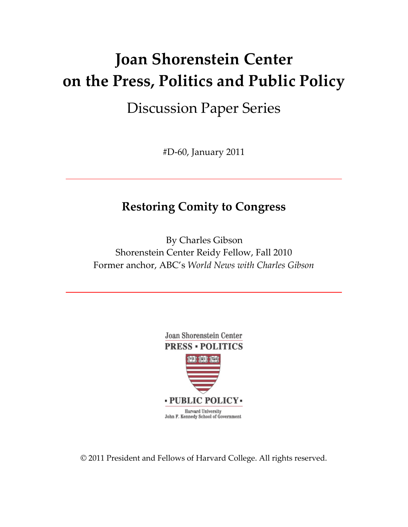# **Joan Shorenstein Center on the Press, Politics and Public Policy**

# Discussion Paper Series

#D‐60, January 2011

# **Restoring Comity to Congress**

By Charles Gibson Shorenstein Center Reidy Fellow, Fall 2010 Former anchor, ABC's *World News with Charles Gibson*



© 2011 President and Fellows of Harvard College. All rights reserved.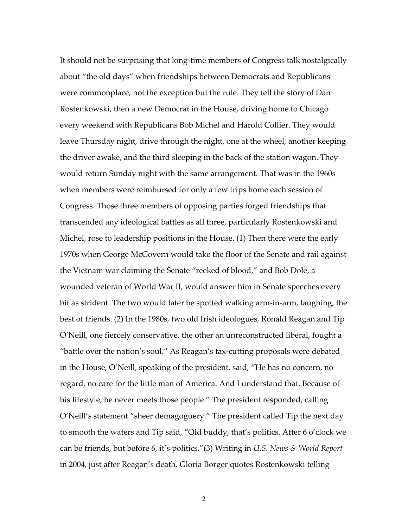It should not be surprising that long‐time members of Congress talk nostalgically about "the old days" when friendships between Democrats and Republicans were commonplace, not the exception but the rule. They tell the story of Dan Rostenkowski, then a new Democrat in the House, driving home to Chicago every weekend with Republicans Bob Michel and Harold Collier. They would leave Thursday night, drive through the night, one at the wheel, another keeping the driver awake, and the third sleeping in the back of the station wagon. They would return Sunday night with the same arrangement. That was in the 1960s when members were reimbursed for only a few trips home each session of Congress. Those three members of opposing parties forged friendships that transcended any ideological battles as all three, particularly Rostenkowski and Michel, rose to leadership positions in the House. (1) Then there were the early 1970s when George McGovern would take the floor of the Senate and rail against the Vietnam war claiming the Senate "reeked of blood," and Bob Dole, a wounded veteran of World War II, would answer him in Senate speeches every bit as strident. The two would later be spotted walking arm‐in‐arm, laughing, the best of friends. (2) In the 1980s, two old Irish ideologues, Ronald Reagan and Tip O'Neill, one fiercely conservative, the other an unreconstructed liberal, fought a "battle over the nation's soul." As Reagan's tax‐cutting proposals were debated in the House, O'Neill, speaking of the president, said, "He has no concern, no regard, no care for the little man of America. And I understand that. Because of his lifestyle, he never meets those people." The president responded, calling O'Neill's statement "sheer demagoguery." The president called Tip the next day to smooth the waters and Tip said, "Old buddy, that's politics. After 6 o'clock we can be friends, but before 6, it's politics."(3) Writing in *U.S. News & World Report* in 2004, just after Reagan's death, Gloria Borger quotes Rostenkowski telling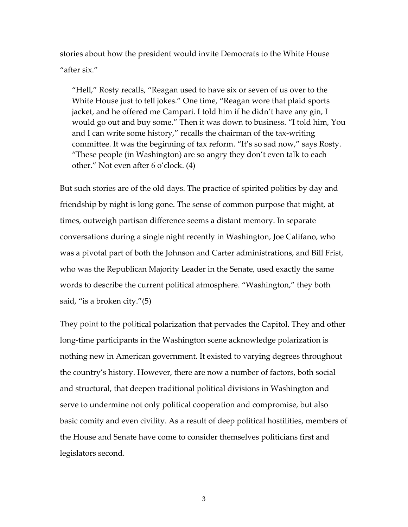stories about how the president would invite Democrats to the White House "after six."

"Hell," Rosty recalls, "Reagan used to have six or seven of us over to the White House just to tell jokes." One time, "Reagan wore that plaid sports jacket, and he offered me Campari. I told him if he didn't have any gin, I would go out and buy some." Then it was down to business. "I told him, You and I can write some history," recalls the chairman of the tax‐writing committee. It was the beginning of tax reform. "It's so sad now," says Rosty. "These people (in Washington) are so angry they don't even talk to each other." Not even after 6 o'clock. (4)

But such stories are of the old days. The practice of spirited politics by day and friendship by night is long gone. The sense of common purpose that might, at times, outweigh partisan difference seems a distant memory. In separate conversations during a single night recently in Washington, Joe Califano, who was a pivotal part of both the Johnson and Carter administrations, and Bill Frist, who was the Republican Majority Leader in the Senate, used exactly the same words to describe the current political atmosphere. "Washington," they both said, "is a broken city."(5)

They point to the political polarization that pervades the Capitol. They and other long‐time participants in the Washington scene acknowledge polarization is nothing new in American government. It existed to varying degrees throughout the country's history. However, there are now a number of factors, both social and structural, that deepen traditional political divisions in Washington and serve to undermine not only political cooperation and compromise, but also basic comity and even civility. As a result of deep political hostilities, members of the House and Senate have come to consider themselves politicians first and legislators second.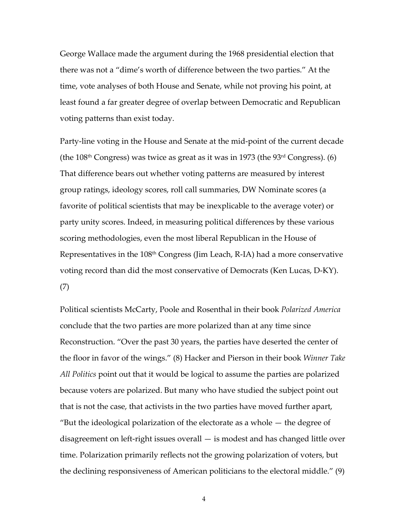George Wallace made the argument during the 1968 presidential election that there was not a "dime's worth of difference between the two parties." At the time, vote analyses of both House and Senate, while not proving his point, at least found a far greater degree of overlap between Democratic and Republican voting patterns than exist today.

Party‐line voting in the House and Senate at the mid‐point of the current decade (the  $108<sup>th</sup>$  Congress) was twice as great as it was in 1973 (the  $93<sup>rd</sup>$  Congress). (6) That difference bears out whether voting patterns are measured by interest group ratings, ideology scores, roll call summaries, DW Nominate scores (a favorite of political scientists that may be inexplicable to the average voter) or party unity scores. Indeed, in measuring political differences by these various scoring methodologies, even the most liberal Republican in the House of Representatives in the  $108<sup>th</sup>$  Congress (Jim Leach, R-IA) had a more conservative voting record than did the most conservative of Democrats (Ken Lucas, D‐KY). (7)

Political scientists McCarty, Poole and Rosenthal in their book *Polarized America* conclude that the two parties are more polarized than at any time since Reconstruction. "Over the past 30 years, the parties have deserted the center of the floor in favor of the wings." (8) Hacker and Pierson in their book *Winner Take All Politics* point out that it would be logical to assume the parties are polarized because voters are polarized. But many who have studied the subject point out that is not the case, that activists in the two parties have moved further apart, "But the ideological polarization of the electorate as a whole  $-$  the degree of disagreement on left‐right issues overall — is modest and has changed little over time. Polarization primarily reflects not the growing polarization of voters, but the declining responsiveness of American politicians to the electoral middle." (9)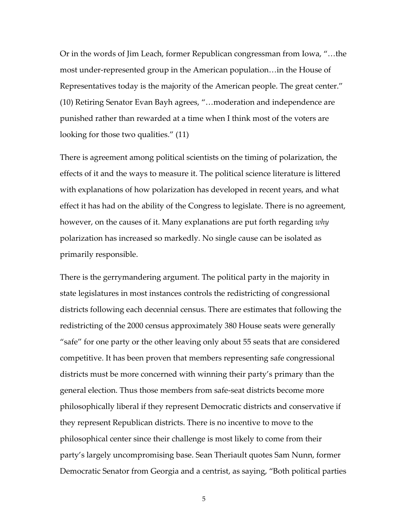Or in the words of Jim Leach, former Republican congressman from Iowa, "…the most under‐represented group in the American population…in the House of Representatives today is the majority of the American people. The great center." (10) Retiring Senator Evan Bayh agrees, "…moderation and independence are punished rather than rewarded at a time when I think most of the voters are looking for those two qualities." (11)

There is agreement among political scientists on the timing of polarization, the effects of it and the ways to measure it. The political science literature is littered with explanations of how polarization has developed in recent years, and what effect it has had on the ability of the Congress to legislate. There is no agreement, however, on the causes of it. Many explanations are put forth regarding *why* polarization has increased so markedly. No single cause can be isolated as primarily responsible.

There is the gerrymandering argument. The political party in the majority in state legislatures in most instances controls the redistricting of congressional districts following each decennial census. There are estimates that following the redistricting of the 2000 census approximately 380 House seats were generally "safe" for one party or the other leaving only about 55 seats that are considered competitive. It has been proven that members representing safe congressional districts must be more concerned with winning their party's primary than the general election. Thus those members from safe‐seat districts become more philosophically liberal if they represent Democratic districts and conservative if they represent Republican districts. There is no incentive to move to the philosophical center since their challenge is most likely to come from their party's largely uncompromising base. Sean Theriault quotes Sam Nunn, former Democratic Senator from Georgia and a centrist, as saying, "Both political parties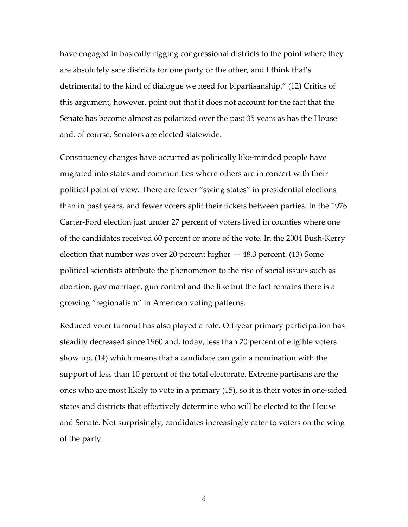have engaged in basically rigging congressional districts to the point where they are absolutely safe districts for one party or the other, and I think that's detrimental to the kind of dialogue we need for bipartisanship." (12) Critics of this argument, however, point out that it does not account for the fact that the Senate has become almost as polarized over the past 35 years as has the House and, of course, Senators are elected statewide.

Constituency changes have occurred as politically like‐minded people have migrated into states and communities where others are in concert with their political point of view. There are fewer "swing states" in presidential elections than in past years, and fewer voters split their tickets between parties. In the 1976 Carter‐Ford election just under 27 percent of voters lived in counties where one of the candidates received 60 percent or more of the vote. In the 2004 Bush‐Kerry election that number was over 20 percent higher — 48.3 percent. (13) Some political scientists attribute the phenomenon to the rise of social issues such as abortion, gay marriage, gun control and the like but the fact remains there is a growing "regionalism" in American voting patterns.

Reduced voter turnout has also played a role. Off‐year primary participation has steadily decreased since 1960 and, today, less than 20 percent of eligible voters show up, (14) which means that a candidate can gain a nomination with the support of less than 10 percent of the total electorate. Extreme partisans are the ones who are most likely to vote in a primary (15), so it is their votes in one‐sided states and districts that effectively determine who will be elected to the House and Senate. Not surprisingly, candidates increasingly cater to voters on the wing of the party.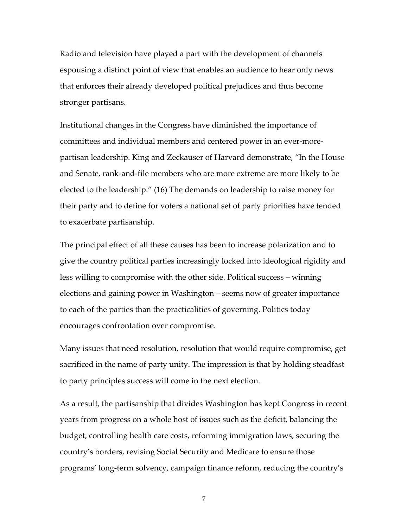Radio and television have played a part with the development of channels espousing a distinct point of view that enables an audience to hear only news that enforces their already developed political prejudices and thus become stronger partisans.

Institutional changes in the Congress have diminished the importance of committees and individual members and centered power in an ever-morepartisan leadership. King and Zeckauser of Harvard demonstrate, "In the House and Senate, rank‐and‐file members who are more extreme are more likely to be elected to the leadership." (16) The demands on leadership to raise money for their party and to define for voters a national set of party priorities have tended to exacerbate partisanship.

The principal effect of all these causes has been to increase polarization and to give the country political parties increasingly locked into ideological rigidity and less willing to compromise with the other side. Political success – winning elections and gaining power in Washington – seems now of greater importance to each of the parties than the practicalities of governing. Politics today encourages confrontation over compromise.

Many issues that need resolution, resolution that would require compromise, get sacrificed in the name of party unity. The impression is that by holding steadfast to party principles success will come in the next election.

As a result, the partisanship that divides Washington has kept Congress in recent years from progress on a whole host of issues such as the deficit, balancing the budget, controlling health care costs, reforming immigration laws, securing the country's borders, revising Social Security and Medicare to ensure those programs' long‐term solvency, campaign finance reform, reducing the country's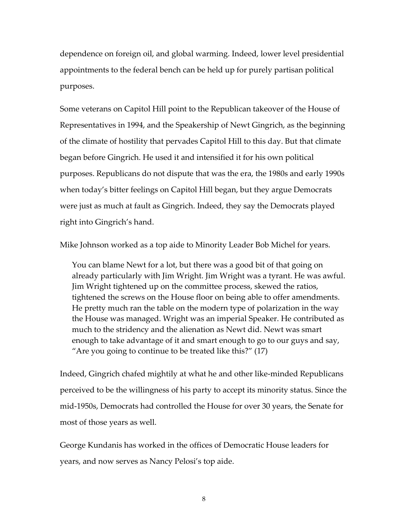dependence on foreign oil, and global warming. Indeed, lower level presidential appointments to the federal bench can be held up for purely partisan political purposes.

Some veterans on Capitol Hill point to the Republican takeover of the House of Representatives in 1994, and the Speakership of Newt Gingrich, as the beginning of the climate of hostility that pervades Capitol Hill to this day. But that climate began before Gingrich. He used it and intensified it for his own political purposes. Republicans do not dispute that was the era, the 1980s and early 1990s when today's bitter feelings on Capitol Hill began, but they argue Democrats were just as much at fault as Gingrich. Indeed, they say the Democrats played right into Gingrich's hand.

Mike Johnson worked as a top aide to Minority Leader Bob Michel for years.

You can blame Newt for a lot, but there was a good bit of that going on already particularly with Jim Wright. Jim Wright was a tyrant. He was awful. Jim Wright tightened up on the committee process, skewed the ratios, tightened the screws on the House floor on being able to offer amendments. He pretty much ran the table on the modern type of polarization in the way the House was managed. Wright was an imperial Speaker. He contributed as much to the stridency and the alienation as Newt did. Newt was smart enough to take advantage of it and smart enough to go to our guys and say, "Are you going to continue to be treated like this?" (17)

Indeed, Gingrich chafed mightily at what he and other like‐minded Republicans perceived to be the willingness of his party to accept its minority status. Since the mid‐1950s, Democrats had controlled the House for over 30 years, the Senate for most of those years as well.

George Kundanis has worked in the offices of Democratic House leaders for years, and now serves as Nancy Pelosi's top aide.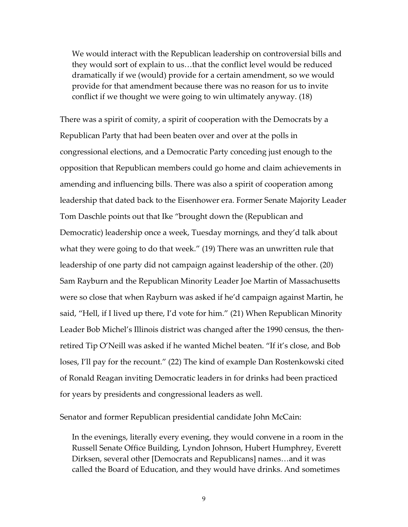We would interact with the Republican leadership on controversial bills and they would sort of explain to us…that the conflict level would be reduced dramatically if we (would) provide for a certain amendment, so we would provide for that amendment because there was no reason for us to invite conflict if we thought we were going to win ultimately anyway. (18)

There was a spirit of comity, a spirit of cooperation with the Democrats by a Republican Party that had been beaten over and over at the polls in congressional elections, and a Democratic Party conceding just enough to the opposition that Republican members could go home and claim achievements in amending and influencing bills. There was also a spirit of cooperation among leadership that dated back to the Eisenhower era. Former Senate Majority Leader Tom Daschle points out that Ike "brought down the (Republican and Democratic) leadership once a week, Tuesday mornings, and they'd talk about what they were going to do that week." (19) There was an unwritten rule that leadership of one party did not campaign against leadership of the other. (20) Sam Rayburn and the Republican Minority Leader Joe Martin of Massachusetts were so close that when Rayburn was asked if he'd campaign against Martin, he said, "Hell, if I lived up there, I'd vote for him." (21) When Republican Minority Leader Bob Michel's Illinois district was changed after the 1990 census, the then‐ retired Tip O'Neill was asked if he wanted Michel beaten. "If it's close, and Bob loses, I'll pay for the recount." (22) The kind of example Dan Rostenkowski cited of Ronald Reagan inviting Democratic leaders in for drinks had been practiced for years by presidents and congressional leaders as well.

Senator and former Republican presidential candidate John McCain:

In the evenings, literally every evening, they would convene in a room in the Russell Senate Office Building, Lyndon Johnson, Hubert Humphrey, Everett Dirksen, several other [Democrats and Republicans] names…and it was called the Board of Education, and they would have drinks. And sometimes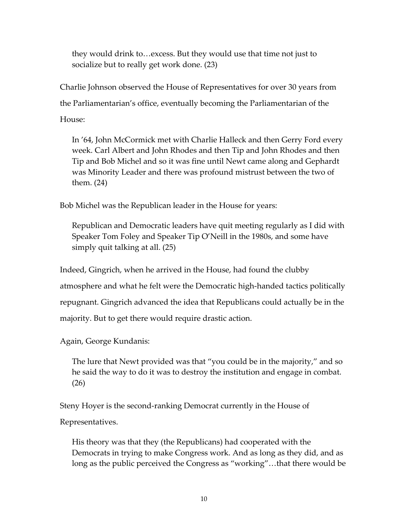they would drink to…excess. But they would use that time not just to socialize but to really get work done. (23)

Charlie Johnson observed the House of Representatives for over 30 years from the Parliamentarian's office, eventually becoming the Parliamentarian of the

House:

In '64, John McCormick met with Charlie Halleck and then Gerry Ford every week. Carl Albert and John Rhodes and then Tip and John Rhodes and then Tip and Bob Michel and so it was fine until Newt came along and Gephardt was Minority Leader and there was profound mistrust between the two of them. (24)

Bob Michel was the Republican leader in the House for years:

Republican and Democratic leaders have quit meeting regularly as I did with Speaker Tom Foley and Speaker Tip O'Neill in the 1980s, and some have simply quit talking at all. (25)

Indeed, Gingrich, when he arrived in the House, had found the clubby atmosphere and what he felt were the Democratic high‐handed tactics politically repugnant. Gingrich advanced the idea that Republicans could actually be in the majority. But to get there would require drastic action.

Again, George Kundanis:

The lure that Newt provided was that "you could be in the majority," and so he said the way to do it was to destroy the institution and engage in combat. (26)

Steny Hoyer is the second-ranking Democrat currently in the House of

Representatives.

His theory was that they (the Republicans) had cooperated with the Democrats in trying to make Congress work. And as long as they did, and as long as the public perceived the Congress as "working"…that there would be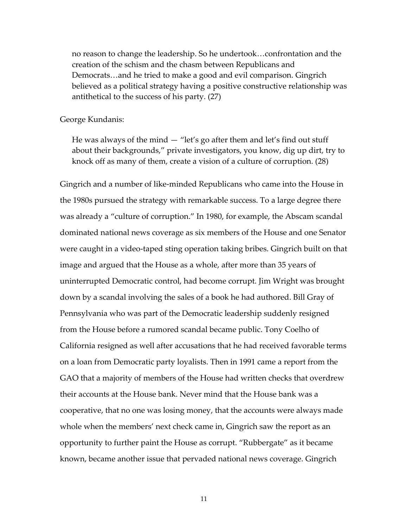no reason to change the leadership. So he undertook…confrontation and the creation of the schism and the chasm between Republicans and Democrats…and he tried to make a good and evil comparison. Gingrich believed as a political strategy having a positive constructive relationship was antithetical to the success of his party. (27)

#### George Kundanis:

He was always of the mind — "let's go after them and let's find out stuff about their backgrounds," private investigators, you know, dig up dirt, try to knock off as many of them, create a vision of a culture of corruption. (28)

Gingrich and a number of like‐minded Republicans who came into the House in the 1980s pursued the strategy with remarkable success. To a large degree there was already a "culture of corruption." In 1980, for example, the Abscam scandal dominated national news coverage as six members of the House and one Senator were caught in a video-taped sting operation taking bribes. Gingrich built on that image and argued that the House as a whole, after more than 35 years of uninterrupted Democratic control, had become corrupt. Jim Wright was brought down by a scandal involving the sales of a book he had authored. Bill Gray of Pennsylvania who was part of the Democratic leadership suddenly resigned from the House before a rumored scandal became public. Tony Coelho of California resigned as well after accusations that he had received favorable terms on a loan from Democratic party loyalists. Then in 1991 came a report from the GAO that a majority of members of the House had written checks that overdrew their accounts at the House bank. Never mind that the House bank was a cooperative, that no one was losing money, that the accounts were always made whole when the members' next check came in, Gingrich saw the report as an opportunity to further paint the House as corrupt. "Rubbergate" as it became known, became another issue that pervaded national news coverage. Gingrich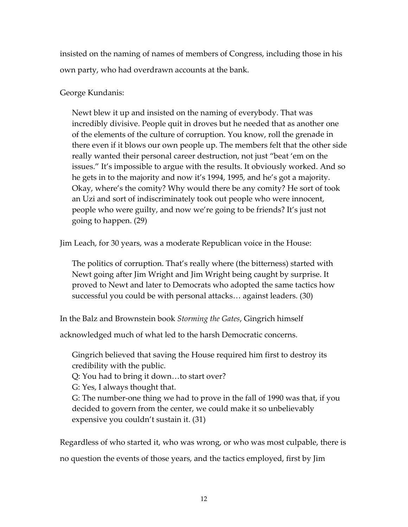insisted on the naming of names of members of Congress, including those in his own party, who had overdrawn accounts at the bank.

### George Kundanis:

Newt blew it up and insisted on the naming of everybody. That was incredibly divisive. People quit in droves but he needed that as another one of the elements of the culture of corruption. You know, roll the grenade in there even if it blows our own people up. The members felt that the other side really wanted their personal career destruction, not just "beat 'em on the issues." It's impossible to argue with the results. It obviously worked. And so he gets in to the majority and now it's 1994, 1995, and he's got a majority. Okay, where's the comity? Why would there be any comity? He sort of took an Uzi and sort of indiscriminately took out people who were innocent, people who were guilty, and now we're going to be friends? It's just not going to happen. (29)

Jim Leach, for 30 years, was a moderate Republican voice in the House:

The politics of corruption. That's really where (the bitterness) started with Newt going after Jim Wright and Jim Wright being caught by surprise. It proved to Newt and later to Democrats who adopted the same tactics how successful you could be with personal attacks… against leaders. (30)

In the Balz and Brownstein book *Storming the Gates*, Gingrich himself

acknowledged much of what led to the harsh Democratic concerns.

Gingrich believed that saving the House required him first to destroy its credibility with the public.

Q: You had to bring it down…to start over?

G: Yes, I always thought that.

G: The number‐one thing we had to prove in the fall of 1990 was that, if you decided to govern from the center, we could make it so unbelievably expensive you couldn't sustain it. (31)

Regardless of who started it, who was wrong, or who was most culpable, there is no question the events of those years, and the tactics employed, first by Jim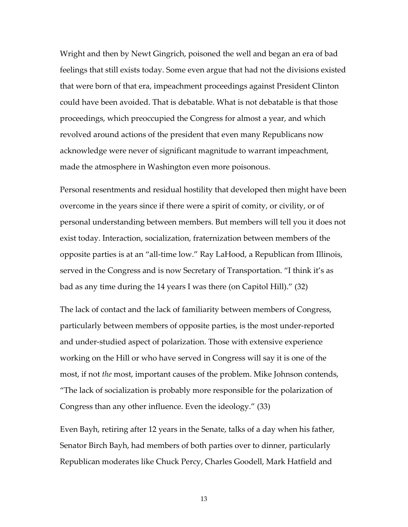Wright and then by Newt Gingrich, poisoned the well and began an era of bad feelings that still exists today. Some even argue that had not the divisions existed that were born of that era, impeachment proceedings against President Clinton could have been avoided. That is debatable. What is not debatable is that those proceedings, which preoccupied the Congress for almost a year, and which revolved around actions of the president that even many Republicans now acknowledge were never of significant magnitude to warrant impeachment, made the atmosphere in Washington even more poisonous.

Personal resentments and residual hostility that developed then might have been overcome in the years since if there were a spirit of comity, or civility, or of personal understanding between members. But members will tell you it does not exist today. Interaction, socialization, fraternization between members of the opposite parties is at an "all‐time low." Ray LaHood, a Republican from Illinois, served in the Congress and is now Secretary of Transportation. "I think it's as bad as any time during the 14 years I was there (on Capitol Hill)." (32)

The lack of contact and the lack of familiarity between members of Congress, particularly between members of opposite parties, is the most under‐reported and under‐studied aspect of polarization. Those with extensive experience working on the Hill or who have served in Congress will say it is one of the most, if not *the* most, important causes of the problem. Mike Johnson contends, "The lack of socialization is probably more responsible for the polarization of Congress than any other influence. Even the ideology." (33)

Even Bayh, retiring after 12 years in the Senate, talks of a day when his father, Senator Birch Bayh, had members of both parties over to dinner, particularly Republican moderates like Chuck Percy, Charles Goodell, Mark Hatfield and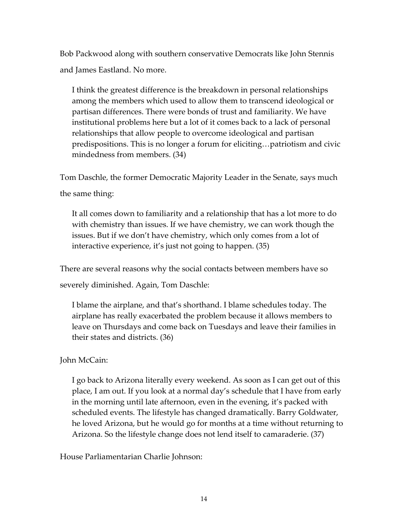Bob Packwood along with southern conservative Democrats like John Stennis and James Eastland. No more.

I think the greatest difference is the breakdown in personal relationships among the members which used to allow them to transcend ideological or partisan differences. There were bonds of trust and familiarity. We have institutional problems here but a lot of it comes back to a lack of personal relationships that allow people to overcome ideological and partisan predispositions. This is no longer a forum for eliciting…patriotism and civic mindedness from members. (34)

Tom Daschle, the former Democratic Majority Leader in the Senate, says much

the same thing:

It all comes down to familiarity and a relationship that has a lot more to do with chemistry than issues. If we have chemistry, we can work though the issues. But if we don't have chemistry, which only comes from a lot of interactive experience, it's just not going to happen. (35)

There are several reasons why the social contacts between members have so severely diminished. Again, Tom Daschle:

I blame the airplane, and that's shorthand. I blame schedules today. The airplane has really exacerbated the problem because it allows members to leave on Thursdays and come back on Tuesdays and leave their families in their states and districts. (36)

### John McCain:

I go back to Arizona literally every weekend. As soon as I can get out of this place, I am out. If you look at a normal day's schedule that I have from early in the morning until late afternoon, even in the evening, it's packed with scheduled events. The lifestyle has changed dramatically. Barry Goldwater, he loved Arizona, but he would go for months at a time without returning to Arizona. So the lifestyle change does not lend itself to camaraderie. (37)

House Parliamentarian Charlie Johnson: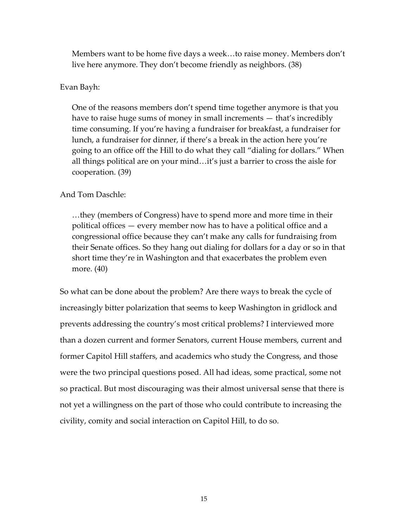Members want to be home five days a week…to raise money. Members don't live here anymore. They don't become friendly as neighbors. (38)

#### Evan Bayh:

One of the reasons members don't spend time together anymore is that you have to raise huge sums of money in small increments — that's incredibly time consuming. If you're having a fundraiser for breakfast, a fundraiser for lunch, a fundraiser for dinner, if there's a break in the action here you're going to an office off the Hill to do what they call "dialing for dollars." When all things political are on your mind…it's just a barrier to cross the aisle for cooperation. (39)

#### And Tom Daschle:

…they (members of Congress) have to spend more and more time in their political offices — every member now has to have a political office and a congressional office because they can't make any calls for fundraising from their Senate offices. So they hang out dialing for dollars for a day or so in that short time they're in Washington and that exacerbates the problem even more. (40)

So what can be done about the problem? Are there ways to break the cycle of increasingly bitter polarization that seems to keep Washington in gridlock and prevents addressing the country's most critical problems? I interviewed more than a dozen current and former Senators, current House members, current and former Capitol Hill staffers, and academics who study the Congress, and those were the two principal questions posed. All had ideas, some practical, some not so practical. But most discouraging was their almost universal sense that there is not yet a willingness on the part of those who could contribute to increasing the civility, comity and social interaction on Capitol Hill, to do so.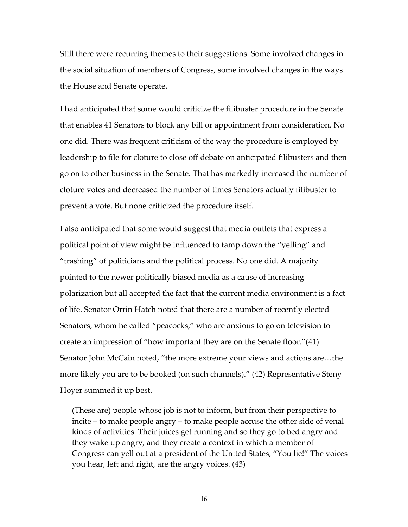Still there were recurring themes to their suggestions. Some involved changes in the social situation of members of Congress, some involved changes in the ways the House and Senate operate.

I had anticipated that some would criticize the filibuster procedure in the Senate that enables 41 Senators to block any bill or appointment from consideration. No one did. There was frequent criticism of the way the procedure is employed by leadership to file for cloture to close off debate on anticipated filibusters and then go on to other business in the Senate. That has markedly increased the number of cloture votes and decreased the number of times Senators actually filibuster to prevent a vote. But none criticized the procedure itself.

I also anticipated that some would suggest that media outlets that express a political point of view might be influenced to tamp down the "yelling" and "trashing" of politicians and the political process. No one did. A majority pointed to the newer politically biased media as a cause of increasing polarization but all accepted the fact that the current media environment is a fact of life. Senator Orrin Hatch noted that there are a number of recently elected Senators, whom he called "peacocks," who are anxious to go on television to create an impression of "how important they are on the Senate floor."(41) Senator John McCain noted, "the more extreme your views and actions are…the more likely you are to be booked (on such channels)." (42) Representative Steny Hoyer summed it up best.

(These are) people whose job is not to inform, but from their perspective to incite – to make people angry – to make people accuse the other side of venal kinds of activities. Their juices get running and so they go to bed angry and they wake up angry, and they create a context in which a member of Congress can yell out at a president of the United States, "You lie!" The voices you hear, left and right, are the angry voices. (43)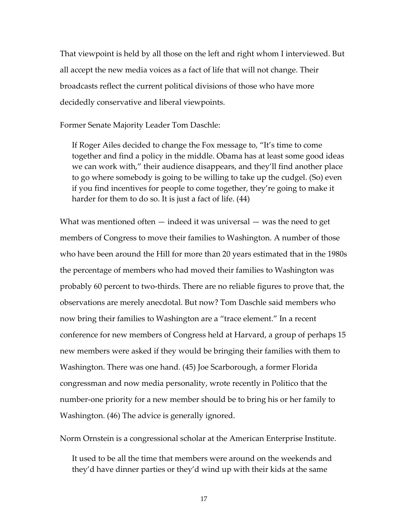That viewpoint is held by all those on the left and right whom I interviewed. But all accept the new media voices as a fact of life that will not change. Their broadcasts reflect the current political divisions of those who have more decidedly conservative and liberal viewpoints.

Former Senate Majority Leader Tom Daschle:

If Roger Ailes decided to change the Fox message to, "It's time to come together and find a policy in the middle. Obama has at least some good ideas we can work with," their audience disappears, and they'll find another place to go where somebody is going to be willing to take up the cudgel. (So) even if you find incentives for people to come together, they're going to make it harder for them to do so. It is just a fact of life. (44)

What was mentioned often — indeed it was universal — was the need to get members of Congress to move their families to Washington. A number of those who have been around the Hill for more than 20 years estimated that in the 1980s the percentage of members who had moved their families to Washington was probably 60 percent to two‐thirds. There are no reliable figures to prove that, the observations are merely anecdotal. But now? Tom Daschle said members who now bring their families to Washington are a "trace element." In a recent conference for new members of Congress held at Harvard, a group of perhaps 15 new members were asked if they would be bringing their families with them to Washington. There was one hand. (45) Joe Scarborough, a former Florida congressman and now media personality, wrote recently in Politico that the number-one priority for a new member should be to bring his or her family to Washington. (46) The advice is generally ignored.

Norm Ornstein is a congressional scholar at the American Enterprise Institute.

It used to be all the time that members were around on the weekends and they'd have dinner parties or they'd wind up with their kids at the same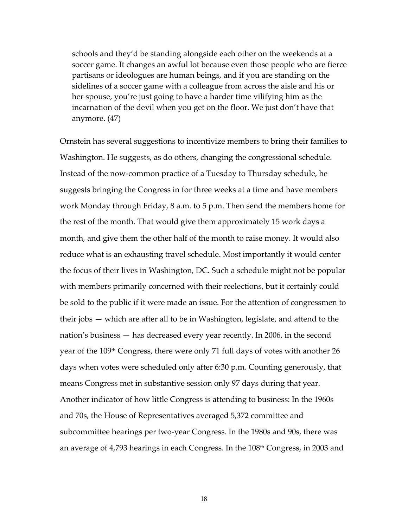schools and they'd be standing alongside each other on the weekends at a soccer game. It changes an awful lot because even those people who are fierce partisans or ideologues are human beings, and if you are standing on the sidelines of a soccer game with a colleague from across the aisle and his or her spouse, you're just going to have a harder time vilifying him as the incarnation of the devil when you get on the floor. We just don't have that anymore. (47)

Ornstein has several suggestions to incentivize members to bring their families to Washington. He suggests, as do others, changing the congressional schedule. Instead of the now‐common practice of a Tuesday to Thursday schedule, he suggests bringing the Congress in for three weeks at a time and have members work Monday through Friday, 8 a.m. to 5 p.m. Then send the members home for the rest of the month. That would give them approximately 15 work days a month, and give them the other half of the month to raise money. It would also reduce what is an exhausting travel schedule. Most importantly it would center the focus of their lives in Washington, DC. Such a schedule might not be popular with members primarily concerned with their reelections, but it certainly could be sold to the public if it were made an issue. For the attention of congressmen to their jobs — which are after all to be in Washington, legislate, and attend to the nation's business — has decreased every year recently. In 2006, in the second year of the 109th Congress, there were only 71 full days of votes with another 26 days when votes were scheduled only after 6:30 p.m. Counting generously, that means Congress met in substantive session only 97 days during that year. Another indicator of how little Congress is attending to business: In the 1960s and 70s, the House of Representatives averaged 5,372 committee and subcommittee hearings per two-year Congress. In the 1980s and 90s, there was an average of 4,793 hearings in each Congress. In the 108<sup>th</sup> Congress, in 2003 and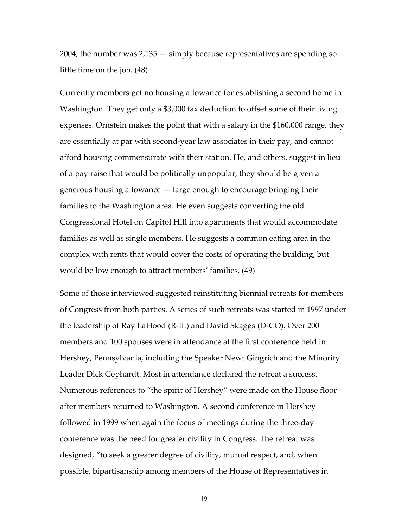2004, the number was 2,135 — simply because representatives are spending so little time on the job. (48)

Currently members get no housing allowance for establishing a second home in Washington. They get only a \$3,000 tax deduction to offset some of their living expenses. Ornstein makes the point that with a salary in the \$160,000 range, they are essentially at par with second‐year law associates in their pay, and cannot afford housing commensurate with their station. He, and others, suggest in lieu of a pay raise that would be politically unpopular, they should be given a generous housing allowance — large enough to encourage bringing their families to the Washington area. He even suggests converting the old Congressional Hotel on Capitol Hill into apartments that would accommodate families as well as single members. He suggests a common eating area in the complex with rents that would cover the costs of operating the building, but would be low enough to attract members' families. (49)

Some of those interviewed suggested reinstituting biennial retreats for members of Congress from both parties. A series of such retreats was started in 1997 under the leadership of Ray LaHood (R‐IL) and David Skaggs (D‐CO). Over 200 members and 100 spouses were in attendance at the first conference held in Hershey, Pennsylvania, including the Speaker Newt Gingrich and the Minority Leader Dick Gephardt. Most in attendance declared the retreat a success. Numerous references to "the spirit of Hershey" were made on the House floor after members returned to Washington. A second conference in Hershey followed in 1999 when again the focus of meetings during the three‐day conference was the need for greater civility in Congress. The retreat was designed, "to seek a greater degree of civility, mutual respect, and, when possible, bipartisanship among members of the House of Representatives in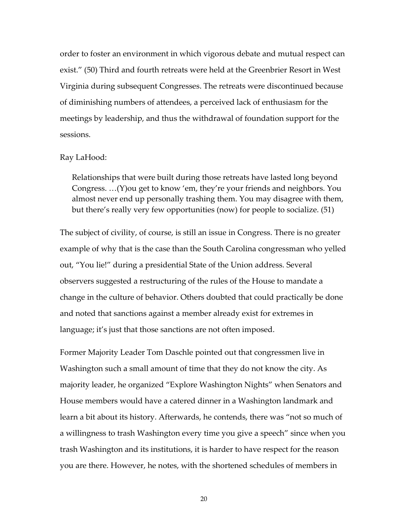order to foster an environment in which vigorous debate and mutual respect can exist." (50) Third and fourth retreats were held at the Greenbrier Resort in West Virginia during subsequent Congresses. The retreats were discontinued because of diminishing numbers of attendees, a perceived lack of enthusiasm for the meetings by leadership, and thus the withdrawal of foundation support for the sessions.

#### Ray LaHood:

Relationships that were built during those retreats have lasted long beyond Congress. …(Y)ou get to know 'em, they're your friends and neighbors. You almost never end up personally trashing them. You may disagree with them, but there's really very few opportunities (now) for people to socialize. (51)

The subject of civility, of course, is still an issue in Congress. There is no greater example of why that is the case than the South Carolina congressman who yelled out, "You lie!" during a presidential State of the Union address. Several observers suggested a restructuring of the rules of the House to mandate a change in the culture of behavior. Others doubted that could practically be done and noted that sanctions against a member already exist for extremes in language; it's just that those sanctions are not often imposed.

Former Majority Leader Tom Daschle pointed out that congressmen live in Washington such a small amount of time that they do not know the city. As majority leader, he organized "Explore Washington Nights" when Senators and House members would have a catered dinner in a Washington landmark and learn a bit about its history. Afterwards, he contends, there was "not so much of a willingness to trash Washington every time you give a speech" since when you trash Washington and its institutions, it is harder to have respect for the reason you are there. However, he notes, with the shortened schedules of members in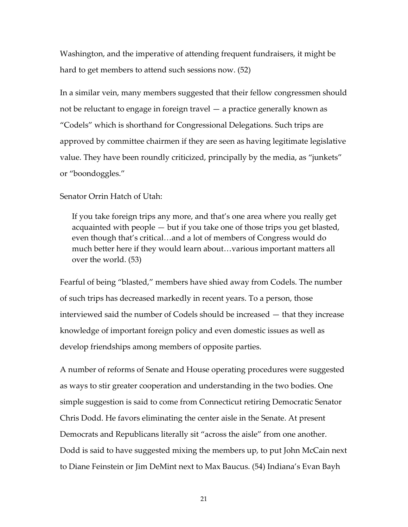Washington, and the imperative of attending frequent fundraisers, it might be hard to get members to attend such sessions now. (52)

In a similar vein, many members suggested that their fellow congressmen should not be reluctant to engage in foreign travel — a practice generally known as "Codels" which is shorthand for Congressional Delegations. Such trips are approved by committee chairmen if they are seen as having legitimate legislative value. They have been roundly criticized, principally by the media, as "junkets" or "boondoggles."

#### Senator Orrin Hatch of Utah:

If you take foreign trips any more, and that's one area where you really get acquainted with people — but if you take one of those trips you get blasted, even though that's critical…and a lot of members of Congress would do much better here if they would learn about…various important matters all over the world. (53)

Fearful of being "blasted," members have shied away from Codels. The number of such trips has decreased markedly in recent years. To a person, those interviewed said the number of Codels should be increased — that they increase knowledge of important foreign policy and even domestic issues as well as develop friendships among members of opposite parties.

A number of reforms of Senate and House operating procedures were suggested as ways to stir greater cooperation and understanding in the two bodies. One simple suggestion is said to come from Connecticut retiring Democratic Senator Chris Dodd. He favors eliminating the center aisle in the Senate. At present Democrats and Republicans literally sit "across the aisle" from one another. Dodd is said to have suggested mixing the members up, to put John McCain next to Diane Feinstein or Jim DeMint next to Max Baucus. (54) Indiana's Evan Bayh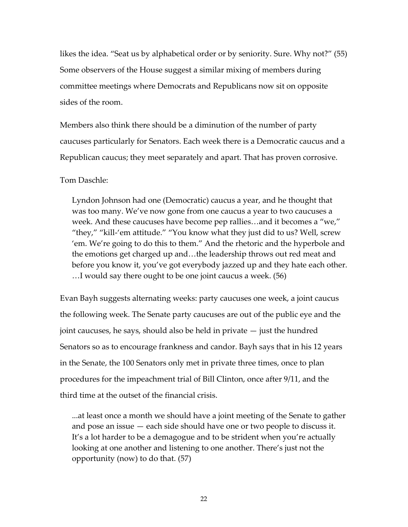likes the idea. "Seat us by alphabetical order or by seniority. Sure. Why not?" (55) Some observers of the House suggest a similar mixing of members during committee meetings where Democrats and Republicans now sit on opposite sides of the room.

Members also think there should be a diminution of the number of party caucuses particularly for Senators. Each week there is a Democratic caucus and a Republican caucus; they meet separately and apart. That has proven corrosive.

Tom Daschle:

Lyndon Johnson had one (Democratic) caucus a year, and he thought that was too many. We've now gone from one caucus a year to two caucuses a week. And these caucuses have become pep rallies…and it becomes a "we," "they," "kill-'em attitude." "You know what they just did to us? Well, screw 'em. We're going to do this to them." And the rhetoric and the hyperbole and the emotions get charged up and…the leadership throws out red meat and before you know it, you've got everybody jazzed up and they hate each other. …I would say there ought to be one joint caucus a week. (56)

Evan Bayh suggests alternating weeks: party caucuses one week, a joint caucus the following week. The Senate party caucuses are out of the public eye and the joint caucuses, he says, should also be held in private — just the hundred Senators so as to encourage frankness and candor. Bayh says that in his 12 years in the Senate, the 100 Senators only met in private three times, once to plan procedures for the impeachment trial of Bill Clinton, once after 9/11, and the third time at the outset of the financial crisis.

...at least once a month we should have a joint meeting of the Senate to gather and pose an issue — each side should have one or two people to discuss it. It's a lot harder to be a demagogue and to be strident when you're actually looking at one another and listening to one another. There's just not the opportunity (now) to do that. (57)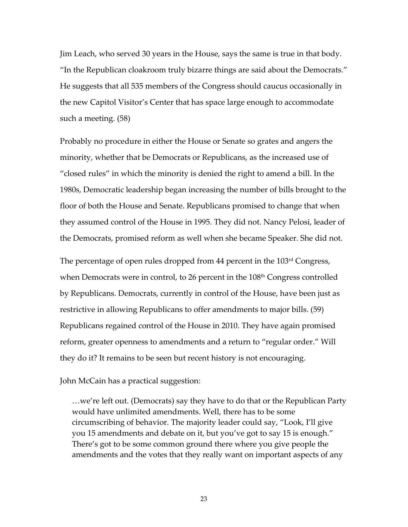Jim Leach, who served 30 years in the House, says the same is true in that body. "In the Republican cloakroom truly bizarre things are said about the Democrats." He suggests that all 535 members of the Congress should caucus occasionally in the new Capitol Visitor's Center that has space large enough to accommodate such a meeting. (58)

Probably no procedure in either the House or Senate so grates and angers the minority, whether that be Democrats or Republicans, as the increased use of "closed rules" in which the minority is denied the right to amend a bill. In the 1980s, Democratic leadership began increasing the number of bills brought to the floor of both the House and Senate. Republicans promised to change that when they assumed control of the House in 1995. They did not. Nancy Pelosi, leader of the Democrats, promised reform as well when she became Speaker. She did not.

The percentage of open rules dropped from 44 percent in the 103rd Congress, when Democrats were in control, to 26 percent in the 108<sup>th</sup> Congress controlled by Republicans. Democrats, currently in control of the House, have been just as restrictive in allowing Republicans to offer amendments to major bills. (59) Republicans regained control of the House in 2010. They have again promised reform, greater openness to amendments and a return to "regular order." Will they do it? It remains to be seen but recent history is not encouraging.

#### John McCain has a practical suggestion:

…we're left out. (Democrats) say they have to do that or the Republican Party would have unlimited amendments. Well, there has to be some circumscribing of behavior. The majority leader could say, "Look, I'll give you 15 amendments and debate on it, but you've got to say 15 is enough." There's got to be some common ground there where you give people the amendments and the votes that they really want on important aspects of any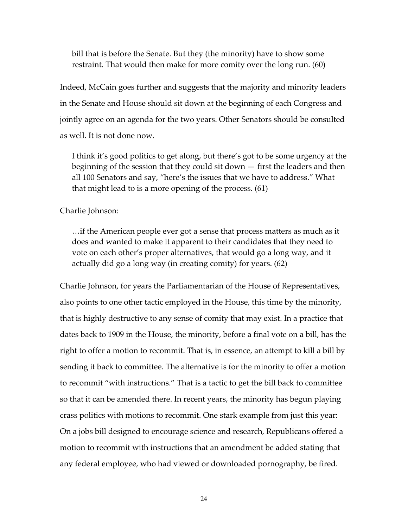bill that is before the Senate. But they (the minority) have to show some restraint. That would then make for more comity over the long run. (60)

Indeed, McCain goes further and suggests that the majority and minority leaders in the Senate and House should sit down at the beginning of each Congress and jointly agree on an agenda for the two years. Other Senators should be consulted as well. It is not done now.

I think it's good politics to get along, but there's got to be some urgency at the beginning of the session that they could sit down — first the leaders and then all 100 Senators and say, "here's the issues that we have to address." What that might lead to is a more opening of the process. (61)

Charlie Johnson:

…if the American people ever got a sense that process matters as much as it does and wanted to make it apparent to their candidates that they need to vote on each other's proper alternatives, that would go a long way, and it actually did go a long way (in creating comity) for years. (62)

Charlie Johnson, for years the Parliamentarian of the House of Representatives, also points to one other tactic employed in the House, this time by the minority, that is highly destructive to any sense of comity that may exist. In a practice that dates back to 1909 in the House, the minority, before a final vote on a bill, has the right to offer a motion to recommit. That is, in essence, an attempt to kill a bill by sending it back to committee. The alternative is for the minority to offer a motion to recommit "with instructions." That is a tactic to get the bill back to committee so that it can be amended there. In recent years, the minority has begun playing crass politics with motions to recommit. One stark example from just this year: On a jobs bill designed to encourage science and research, Republicans offered a motion to recommit with instructions that an amendment be added stating that any federal employee, who had viewed or downloaded pornography, be fired.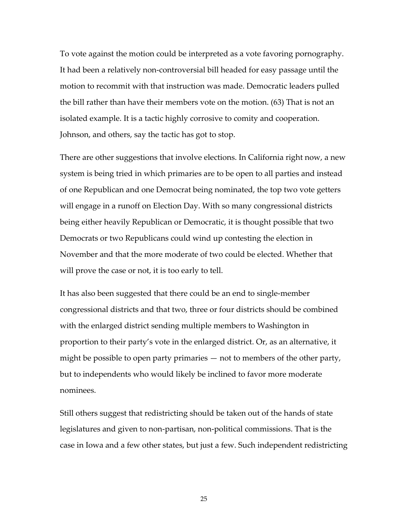To vote against the motion could be interpreted as a vote favoring pornography. It had been a relatively non‐controversial bill headed for easy passage until the motion to recommit with that instruction was made. Democratic leaders pulled the bill rather than have their members vote on the motion. (63) That is not an isolated example. It is a tactic highly corrosive to comity and cooperation. Johnson, and others, say the tactic has got to stop.

There are other suggestions that involve elections. In California right now, a new system is being tried in which primaries are to be open to all parties and instead of one Republican and one Democrat being nominated, the top two vote getters will engage in a runoff on Election Day. With so many congressional districts being either heavily Republican or Democratic, it is thought possible that two Democrats or two Republicans could wind up contesting the election in November and that the more moderate of two could be elected. Whether that will prove the case or not, it is too early to tell.

It has also been suggested that there could be an end to single‐member congressional districts and that two, three or four districts should be combined with the enlarged district sending multiple members to Washington in proportion to their party's vote in the enlarged district. Or, as an alternative, it might be possible to open party primaries — not to members of the other party, but to independents who would likely be inclined to favor more moderate nominees.

Still others suggest that redistricting should be taken out of the hands of state legislatures and given to non‐partisan, non‐political commissions. That is the case in Iowa and a few other states, but just a few. Such independent redistricting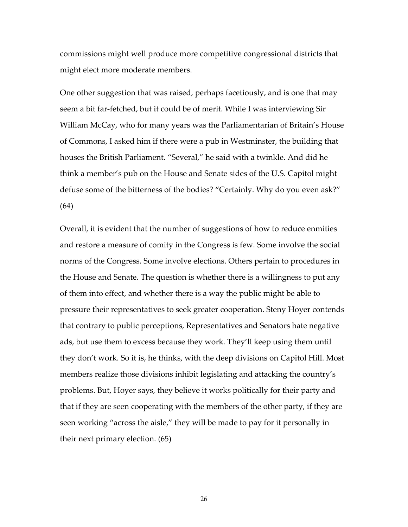commissions might well produce more competitive congressional districts that might elect more moderate members.

One other suggestion that was raised, perhaps facetiously, and is one that may seem a bit far-fetched, but it could be of merit. While I was interviewing Sir William McCay, who for many years was the Parliamentarian of Britain's House of Commons, I asked him if there were a pub in Westminster, the building that houses the British Parliament. "Several," he said with a twinkle. And did he think a member's pub on the House and Senate sides of the U.S. Capitol might defuse some of the bitterness of the bodies? "Certainly. Why do you even ask?" (64)

Overall, it is evident that the number of suggestions of how to reduce enmities and restore a measure of comity in the Congress is few. Some involve the social norms of the Congress. Some involve elections. Others pertain to procedures in the House and Senate. The question is whether there is a willingness to put any of them into effect, and whether there is a way the public might be able to pressure their representatives to seek greater cooperation. Steny Hoyer contends that contrary to public perceptions, Representatives and Senators hate negative ads, but use them to excess because they work. They'll keep using them until they don't work. So it is, he thinks, with the deep divisions on Capitol Hill. Most members realize those divisions inhibit legislating and attacking the country's problems. But, Hoyer says, they believe it works politically for their party and that if they are seen cooperating with the members of the other party, if they are seen working "across the aisle," they will be made to pay for it personally in their next primary election. (65)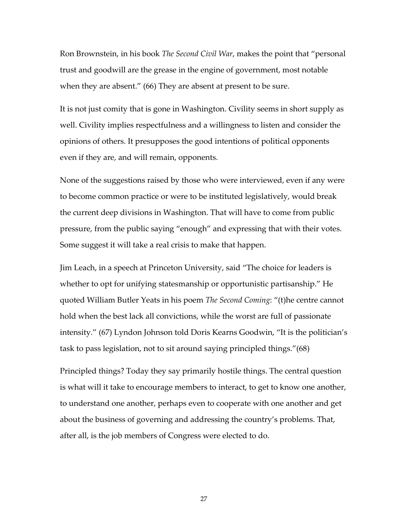Ron Brownstein, in his book *The Second Civil War*, makes the point that "personal trust and goodwill are the grease in the engine of government, most notable when they are absent." (66) They are absent at present to be sure.

It is not just comity that is gone in Washington. Civility seems in short supply as well. Civility implies respectfulness and a willingness to listen and consider the opinions of others. It presupposes the good intentions of political opponents even if they are, and will remain, opponents.

None of the suggestions raised by those who were interviewed, even if any were to become common practice or were to be instituted legislatively, would break the current deep divisions in Washington. That will have to come from public pressure, from the public saying "enough" and expressing that with their votes. Some suggest it will take a real crisis to make that happen.

Jim Leach, in a speech at Princeton University, said "The choice for leaders is whether to opt for unifying statesmanship or opportunistic partisanship." He quoted William Butler Yeats in his poem *The Second Coming*: "(t)he centre cannot hold when the best lack all convictions, while the worst are full of passionate intensity." (67) Lyndon Johnson told Doris Kearns Goodwin, "It is the politician's task to pass legislation, not to sit around saying principled things."(68)

Principled things? Today they say primarily hostile things. The central question is what will it take to encourage members to interact, to get to know one another, to understand one another, perhaps even to cooperate with one another and get about the business of governing and addressing the country's problems. That, after all, is the job members of Congress were elected to do.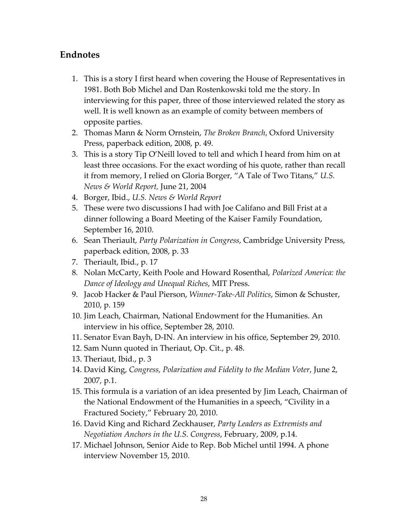## **Endnotes**

- 1. This is a story I first heard when covering the House of Representatives in 1981. Both Bob Michel and Dan Rostenkowski told me the story. In interviewing for this paper, three of those interviewed related the story as well. It is well known as an example of comity between members of opposite parties.
- 2. Thomas Mann & Norm Ornstein, *The Broken Branch*, Oxford University Press, paperback edition, 2008, p. 49.
- 3. This is a story Tip O'Neill loved to tell and which I heard from him on at least three occasions. For the exact wording of his quote, rather than recall it from memory, I relied on Gloria Borger, "A Tale of Two Titans," *U.S. News & World Report,* June 21, 2004
- 4. Borger, Ibid., *U.S. News & World Report*
- 5. These were two discussions I had with Joe Califano and Bill Frist at a dinner following a Board Meeting of the Kaiser Family Foundation, September 16, 2010.
- 6. Sean Theriault, *Party Polarization in Congress*, Cambridge University Press, paperback edition, 2008, p. 33
- 7. Theriault, Ibid., p. 17
- 8. Nolan McCarty, Keith Poole and Howard Rosenthal, *Polarized America: the Dance of Ideology and Unequal Riches*, MIT Press.
- 9. Jacob Hacker & Paul Pierson, *Winner‐Take‐All Politics*, Simon & Schuster, 2010, p. 159
- 10. Jim Leach, Chairman, National Endowment for the Humanities. An interview in his office, September 28, 2010.
- 11. Senator Evan Bayh, D‐IN. An interview in his office, September 29, 2010.
- 12. Sam Nunn quoted in Theriaut, Op. Cit., p. 48.
- 13. Theriaut, Ibid., p. 3
- 14. David King, *Congress, Polarization and Fidelity to the Median Voter*, June 2, 2007, p.1.
- 15. This formula is a variation of an idea presented by Jim Leach, Chairman of the National Endowment of the Humanities in a speech, "Civility in a Fractured Society," February 20, 2010.
- 16. David King and Richard Zeckhauser, *Party Leaders as Extremists and Negotiation Anchors in the U.S. Congress*, February, 2009, p.14.
- 17. Michael Johnson, Senior Aide to Rep. Bob Michel until 1994. A phone interview November 15, 2010.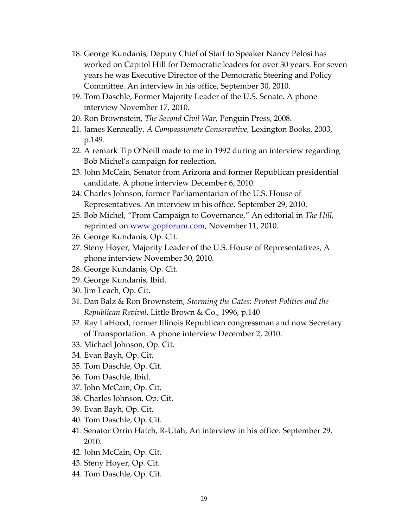- 18. George Kundanis, Deputy Chief of Staff to Speaker Nancy Pelosi has worked on Capitol Hill for Democratic leaders for over 30 years. For seven years he was Executive Director of the Democratic Steering and Policy Committee. An interview in his office, September 30, 2010.
- 19. Tom Daschle, Former Majority Leader of the U.S. Senate. A phone interview November 17, 2010.
- 20. Ron Brownstein, *The Second Civil War*, Penguin Press, 2008.
- 21. James Kenneally, *A Compassionate Conservative*, Lexington Books, 2003, p.149.
- 22. A remark Tip O'Neill made to me in 1992 during an interview regarding Bob Michel's campaign for reelection.
- 23. John McCain, Senator from Arizona and former Republican presidential candidate. A phone interview December 6, 2010.
- 24. Charles Johnson, former Parliamentarian of the U.S. House of Representatives. An interview in his office, September 29, 2010.
- 25. Bob Michel, "From Campaign to Governance," An editorial in *The Hill,* reprinted on [www.gopforum.com](http://www.gopforum.com/), November 11, 2010.
- 26. George Kundanis, Op. Cit.
- 27. Steny Hoyer, Majority Leader of the U.S. House of Representatives, A phone interview November 30, 2010.
- 28. George Kundanis, Op. Cit.
- 29. George Kundanis, Ibid.
- 30. Jim Leach, Op. Cit.
- 31. Dan Balz & Ron Brownstein, *Storming the Gates: Protest Politics and the Republican Revival*, Little Brown & Co., 1996, p.140
- 32. Ray LaHood, former Illinois Republican congressman and now Secretary of Transportation. A phone interview December 2, 2010.
- 33. Michael Johnson, Op. Cit.
- 34. Evan Bayh, Op. Cit.
- 35. Tom Daschle, Op. Cit.
- 36. Tom Daschle, Ibid.
- 37. John McCain, Op. Cit.
- 38. Charles Johnson, Op. Cit.
- 39. Evan Bayh, Op. Cit.
- 40. Tom Daschle, Op. Cit.
- 41. Senator Orrin Hatch, R‐Utah, An interview in his office. September 29, 2010.
- 42. John McCain, Op. Cit.
- 43. Steny Hoyer, Op. Cit.
- 44. Tom Daschle, Op. Cit.